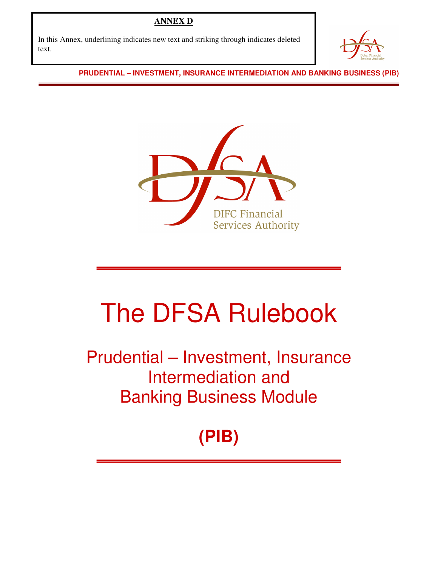## **ANNEX D**

In this Annex, underlining indicates new text and striking through indicates deleted text.



**PRUDENTIAL – INVESTMENT, INSURANCE INTERMEDIATION AND BANKING BUSINESS (PIB)** 



# The DFSA Rulebook

Prudential – Investment, Insurance Intermediation and Banking Business Module

# **(PIB)**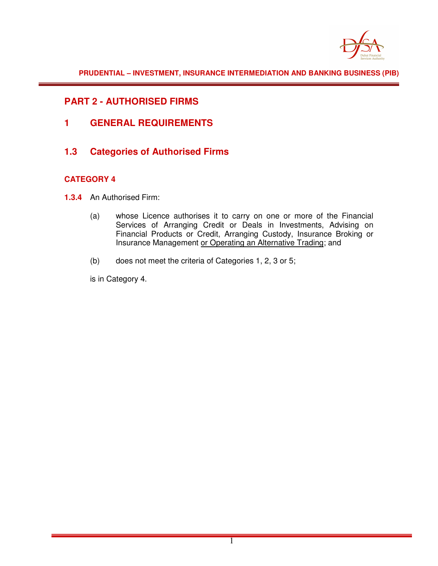

**PRUDENTIAL – INVESTMENT, INSURANCE INTERMEDIATION AND BANKING BUSINESS (PIB)** 

### **PART 2 - AUTHORISED FIRMS**

- **1 GENERAL REQUIREMENTS**
- **1.3 Categories of Authorised Firms**

#### **CATEGORY 4**

- **1.3.4** An Authorised Firm:
	- (a) whose Licence authorises it to carry on one or more of the Financial Services of Arranging Credit or Deals in Investments, Advising on Financial Products or Credit, Arranging Custody, Insurance Broking or Insurance Management or Operating an Alternative Trading; and
	- (b) does not meet the criteria of Categories 1, 2, 3 or 5;

is in Category 4.